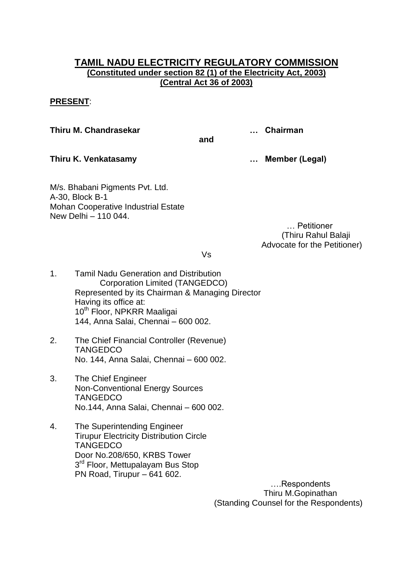# **TAMIL NADU ELECTRICITY REGULATORY COMMISSION (Constituted under section 82 (1) of the Electricity Act, 2003) (Central Act 36 of 2003)**

## **PRESENT**:

**Thiru M. Chandrasekar … Chairman**

**and**

**Thiru K. Venkatasamy … Member (Legal)**

M/s. Bhabani Pigments Pvt. Ltd. A-30, Block B-1 Mohan Cooperative Industrial Estate New Delhi – 110 044.

 … Petitioner (Thiru Rahul Balaji Advocate for the Petitioner)

Vs

- 1. Tamil Nadu Generation and Distribution Corporation Limited (TANGEDCO) Represented by its Chairman & Managing Director Having its office at: 10<sup>th</sup> Floor, NPKRR Maaligai 144, Anna Salai, Chennai – 600 002.
- 2. The Chief Financial Controller (Revenue) **TANGEDCO** No. 144, Anna Salai, Chennai – 600 002.
- 3. The Chief Engineer Non-Conventional Energy Sources **TANGEDCO** No.144, Anna Salai, Chennai – 600 002.
- 4. The Superintending Engineer Tirupur Electricity Distribution Circle **TANGEDCO** Door No.208/650, KRBS Tower 3<sup>rd</sup> Floor, Mettupalayam Bus Stop PN Road, Tirupur – 641 602.

 ….Respondents Thiru M.Gopinathan (Standing Counsel for the Respondents)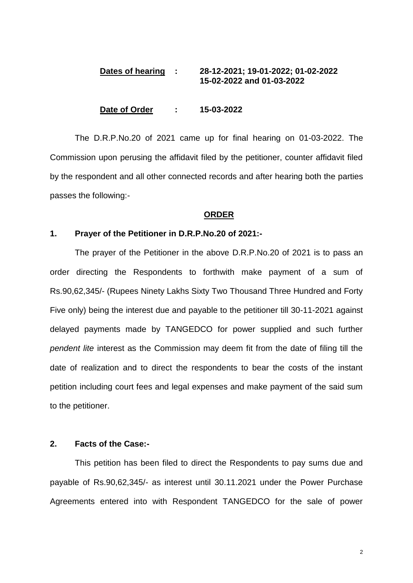## **Dates of hearing : 28-12-2021; 19-01-2022; 01-02-2022 15-02-2022 and 01-03-2022**

### **Date of Order : 15-03-2022**

The D.R.P.No.20 of 2021 came up for final hearing on 01-03-2022. The Commission upon perusing the affidavit filed by the petitioner, counter affidavit filed by the respondent and all other connected records and after hearing both the parties passes the following:-

#### **ORDER**

### **1. Prayer of the Petitioner in D.R.P.No.20 of 2021:-**

The prayer of the Petitioner in the above D.R.P.No.20 of 2021 is to pass an order directing the Respondents to forthwith make payment of a sum of Rs.90,62,345/- (Rupees Ninety Lakhs Sixty Two Thousand Three Hundred and Forty Five only) being the interest due and payable to the petitioner till 30-11-2021 against delayed payments made by TANGEDCO for power supplied and such further *pendent lite* interest as the Commission may deem fit from the date of filing till the date of realization and to direct the respondents to bear the costs of the instant petition including court fees and legal expenses and make payment of the said sum to the petitioner.

## **2. Facts of the Case:-**

This petition has been filed to direct the Respondents to pay sums due and payable of Rs.90,62,345/- as interest until 30.11.2021 under the Power Purchase Agreements entered into with Respondent TANGEDCO for the sale of power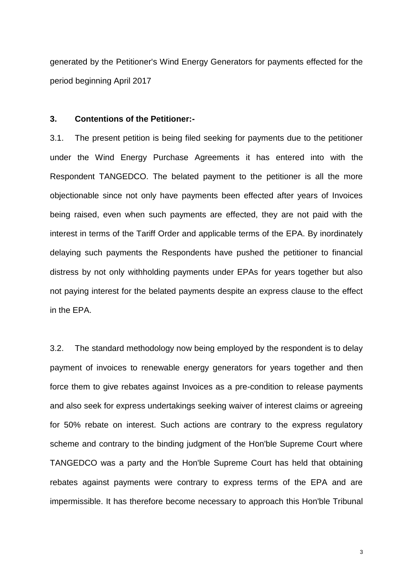generated by the Petitioner's Wind Energy Generators for payments effected for the period beginning April 2017

### **3. Contentions of the Petitioner:-**

3.1. The present petition is being filed seeking for payments due to the petitioner under the Wind Energy Purchase Agreements it has entered into with the Respondent TANGEDCO. The belated payment to the petitioner is all the more objectionable since not only have payments been effected after years of Invoices being raised, even when such payments are effected, they are not paid with the interest in terms of the Tariff Order and applicable terms of the EPA. By inordinately delaying such payments the Respondents have pushed the petitioner to financial distress by not only withholding payments under EPAs for years together but also not paying interest for the belated payments despite an express clause to the effect in the EPA.

3.2. The standard methodology now being employed by the respondent is to delay payment of invoices to renewable energy generators for years together and then force them to give rebates against Invoices as a pre-condition to release payments and also seek for express undertakings seeking waiver of interest claims or agreeing for 50% rebate on interest. Such actions are contrary to the express regulatory scheme and contrary to the binding judgment of the Hon'ble Supreme Court where TANGEDCO was a party and the Hon'ble Supreme Court has held that obtaining rebates against payments were contrary to express terms of the EPA and are impermissible. It has therefore become necessary to approach this Hon'ble Tribunal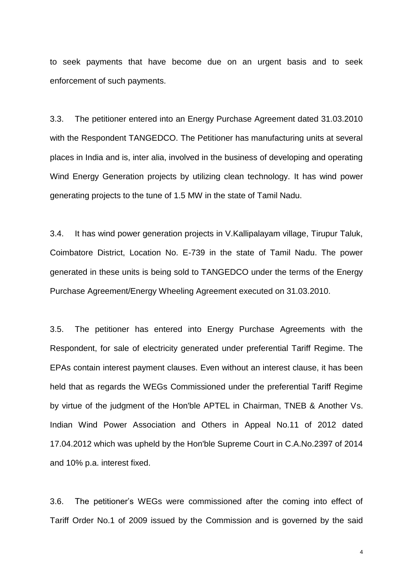to seek payments that have become due on an urgent basis and to seek enforcement of such payments.

3.3. The petitioner entered into an Energy Purchase Agreement dated 31.03.2010 with the Respondent TANGEDCO. The Petitioner has manufacturing units at several places in India and is, inter alia, involved in the business of developing and operating Wind Energy Generation projects by utilizing clean technology. It has wind power generating projects to the tune of 1.5 MW in the state of Tamil Nadu.

3.4. It has wind power generation projects in V.Kallipalayam village, Tirupur Taluk, Coimbatore District, Location No. E-739 in the state of Tamil Nadu. The power generated in these units is being sold to TANGEDCO under the terms of the Energy Purchase Agreement/Energy Wheeling Agreement executed on 31.03.2010.

3.5. The petitioner has entered into Energy Purchase Agreements with the Respondent, for sale of electricity generated under preferential Tariff Regime. The EPAs contain interest payment clauses. Even without an interest clause, it has been held that as regards the WEGs Commissioned under the preferential Tariff Regime by virtue of the judgment of the Hon'ble APTEL in Chairman, TNEB & Another Vs. Indian Wind Power Association and Others in Appeal No.11 of 2012 dated 17.04.2012 which was upheld by the Hon'ble Supreme Court in C.A.No.2397 of 2014 and 10% p.a. interest fixed.

3.6. The petitioner's WEGs were commissioned after the coming into effect of Tariff Order No.1 of 2009 issued by the Commission and is governed by the said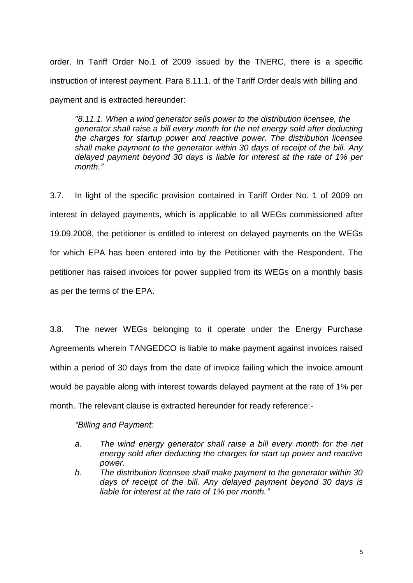order. In Tariff Order No.1 of 2009 issued by the TNERC, there is a specific instruction of interest payment. Para 8.11.1. of the Tariff Order deals with billing and payment and is extracted hereunder:

*"8.11.1. When a wind generator sells power to the distribution licensee, the generator shall raise a bill every month for the net energy sold after deducting the charges for startup power and reactive power. The distribution licensee shall make payment to the generator within 30 days of receipt of the bill. Any delayed payment beyond 30 days is liable for interest at the rate of 1% per month."*

3.7. In light of the specific provision contained in Tariff Order No. 1 of 2009 on interest in delayed payments, which is applicable to all WEGs commissioned after 19.09.2008, the petitioner is entitled to interest on delayed payments on the WEGs for which EPA has been entered into by the Petitioner with the Respondent. The petitioner has raised invoices for power supplied from its WEGs on a monthly basis as per the terms of the EPA.

3.8. The newer WEGs belonging to it operate under the Energy Purchase Agreements wherein TANGEDCO is liable to make payment against invoices raised within a period of 30 days from the date of invoice failing which the invoice amount would be payable along with interest towards delayed payment at the rate of 1% per month. The relevant clause is extracted hereunder for ready reference:-

*"Billing and Payment:*

- *a. The wind energy generator shall raise a bill every month for the net energy sold after deducting the charges for start up power and reactive power.*
- *b. The distribution licensee shall make payment to the generator within 30 days of receipt of the bill. Any delayed payment beyond 30 days is liable for interest at the rate of 1% per month."*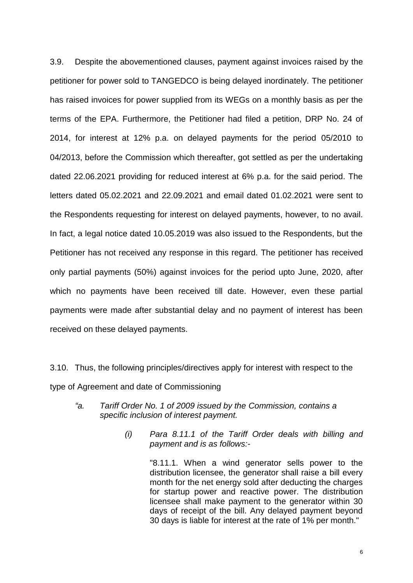3.9. Despite the abovementioned clauses, payment against invoices raised by the petitioner for power sold to TANGEDCO is being delayed inordinately. The petitioner has raised invoices for power supplied from its WEGs on a monthly basis as per the terms of the EPA. Furthermore, the Petitioner had filed a petition, DRP No. 24 of 2014, for interest at 12% p.a. on delayed payments for the period 05/2010 to 04/2013, before the Commission which thereafter, got settled as per the undertaking dated 22.06.2021 providing for reduced interest at 6% p.a. for the said period. The letters dated 05.02.2021 and 22.09.2021 and email dated 01.02.2021 were sent to the Respondents requesting for interest on delayed payments, however, to no avail. In fact, a legal notice dated 10.05.2019 was also issued to the Respondents, but the Petitioner has not received any response in this regard. The petitioner has received only partial payments (50%) against invoices for the period upto June, 2020, after which no payments have been received till date. However, even these partial payments were made after substantial delay and no payment of interest has been received on these delayed payments.

3.10. Thus, the following principles/directives apply for interest with respect to the type of Agreement and date of Commissioning

- *"a. Tariff Order No. 1 of 2009 issued by the Commission, contains a specific inclusion of interest payment.*
	- *(i) Para 8.11.1 of the Tariff Order deals with billing and payment and is as follows:-*

"8.11.1. When a wind generator sells power to the distribution licensee, the generator shall raise a bill every month for the net energy sold after deducting the charges for startup power and reactive power. The distribution licensee shall make payment to the generator within 30 days of receipt of the bill. Any delayed payment beyond 30 days is liable for interest at the rate of 1% per month."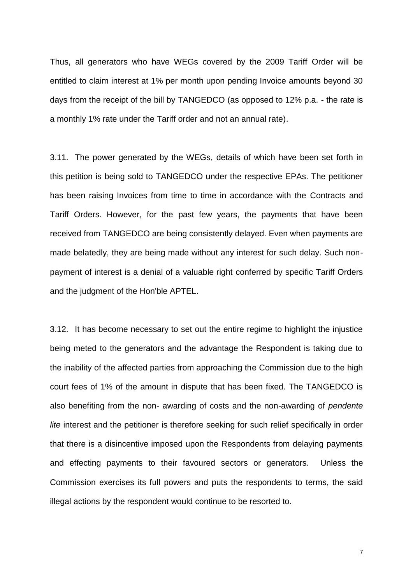Thus, all generators who have WEGs covered by the 2009 Tariff Order will be entitled to claim interest at 1% per month upon pending Invoice amounts beyond 30 days from the receipt of the bill by TANGEDCO (as opposed to 12% p.a. - the rate is a monthly 1% rate under the Tariff order and not an annual rate).

3.11. The power generated by the WEGs, details of which have been set forth in this petition is being sold to TANGEDCO under the respective EPAs. The petitioner has been raising Invoices from time to time in accordance with the Contracts and Tariff Orders. However, for the past few years, the payments that have been received from TANGEDCO are being consistently delayed. Even when payments are made belatedly, they are being made without any interest for such delay. Such nonpayment of interest is a denial of a valuable right conferred by specific Tariff Orders and the judgment of the Hon'ble APTEL.

3.12. It has become necessary to set out the entire regime to highlight the injustice being meted to the generators and the advantage the Respondent is taking due to the inability of the affected parties from approaching the Commission due to the high court fees of 1% of the amount in dispute that has been fixed. The TANGEDCO is also benefiting from the non- awarding of costs and the non-awarding of *pendente lite* interest and the petitioner is therefore seeking for such relief specifically in order that there is a disincentive imposed upon the Respondents from delaying payments and effecting payments to their favoured sectors or generators. Unless the Commission exercises its full powers and puts the respondents to terms, the said illegal actions by the respondent would continue to be resorted to.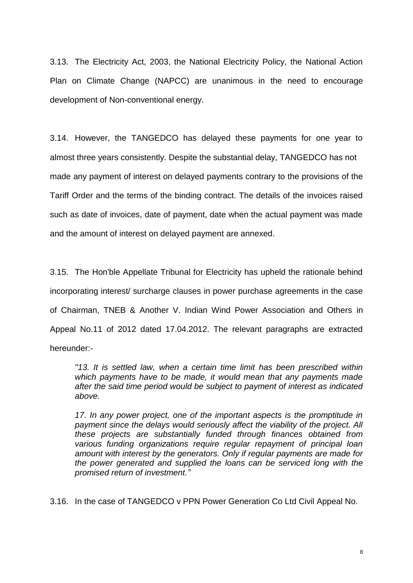3.13. The Electricity Act, 2003, the National Electricity Policy, the National Action Plan on Climate Change (NAPCC) are unanimous in the need to encourage development of Non-conventional energy.

3.14. However, the TANGEDCO has delayed these payments for one year to almost three years consistently. Despite the substantial delay, TANGEDCO has not made any payment of interest on delayed payments contrary to the provisions of the Tariff Order and the terms of the binding contract. The details of the invoices raised such as date of invoices, date of payment, date when the actual payment was made and the amount of interest on delayed payment are annexed.

3.15. The Hon'ble Appellate Tribunal for Electricity has upheld the rationale behind incorporating interest/ surcharge clauses in power purchase agreements in the case of Chairman, TNEB & Another V. Indian Wind Power Association and Others in Appeal No.11 of 2012 dated 17.04.2012. The relevant paragraphs are extracted hereunder:-

*"13. It is settled law, when a certain time limit has been prescribed within which payments have to be made, it would mean that any payments made after the said time period would be subject to payment of interest as indicated above.* 

*17. In any power project, one of the important aspects is the promptitude in payment since the delays would seriously affect the viability of the project. All these projects are substantially funded through finances obtained from various funding organizations require regular repayment of principal loan amount with interest by the generators. Only if regular payments are made for the power generated and supplied the loans can be serviced long with the promised return of investment."*

3.16. In the case of TANGEDCO v PPN Power Generation Co Ltd Civil Appeal No.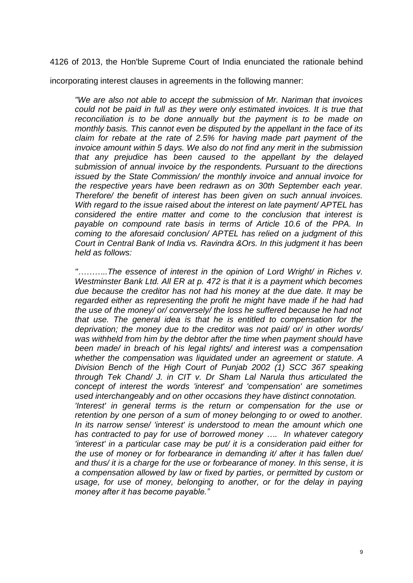4126 of 2013, the Hon'ble Supreme Court of India enunciated the rationale behind

incorporating interest clauses in agreements in the following manner:

*"We are also not able to accept the submission of Mr. Nariman that invoices could not be paid in full as they were only estimated invoices. It is true that reconciliation is to be done annually but the payment is to be made on monthly basis. This cannot even be disputed by the appellant in the face of its claim for rebate at the rate of 2.5% for having made part payment of the invoice amount within 5 days. We also do not find any merit in the submission that any prejudice has been caused to the appellant by the delayed submission of annual invoice by the respondents. Pursuant to the directions issued by the State Commission/ the monthly invoice and annual invoice for the respective years have been redrawn as on 30th September each year. Therefore/ the benefit of interest has been given on such annual invoices. With regard to the issue raised about the interest on late payment/ APTEL has considered the entire matter and come to the conclusion that interest is payable on compound rate basis in terms of Article 10.6 of the PPA. In coming to the aforesaid conclusion/ APTEL has relied on a judgment of this Court in Central Bank of India vs. Ravindra &Ors. In this judgment it has been held as follows:* 

*"………..The essence of interest in the opinion of Lord Wright/ in Riches v. Westminster Bank Ltd. All ER at p. 472 is that it is a payment which becomes due because the creditor has not had his money at the due date. It may be*  regarded either as representing the profit he might have made if he had had *the use of the money/ or/ conversely/ the loss he suffered because he had not that use. The general idea is that he is entitled to compensation for the deprivation; the money due to the creditor was not paid/ or/ in other words/ was withheld from him by the debtor after the time when payment should have been made/ in breach of his legal rights/ and interest was a compensation whether the compensation was liquidated under an agreement or statute. A Division Bench of the High Court of Punjab 2002 (1) SCC 367 speaking through Tek Chand/ J. in CIT v. Dr Sham Lal Narula thus articulated the concept of interest the words 'interest' and 'compensation' are sometimes used interchangeably and on other occasions they have distinct connotation. 'Interest' in general terms is the return or compensation for the use or retention by one person of a sum of money belonging to or owed to another. In its narrow sense/ 'interest' is understood to mean the amount which one has contracted to pay for use of borrowed money …. In whatever category 'interest' in a particular case may be put/ it is a consideration paid either for the use of money or for forbearance in demanding it/ after it has fallen due/ and thus/ it is a charge for the use or forbearance of money. In this sense, it is a compensation allowed by law or fixed by parties, or permitted by custom or*  usage, for use of money, belonging to another, or for the delay in paying

*money after it has become payable."*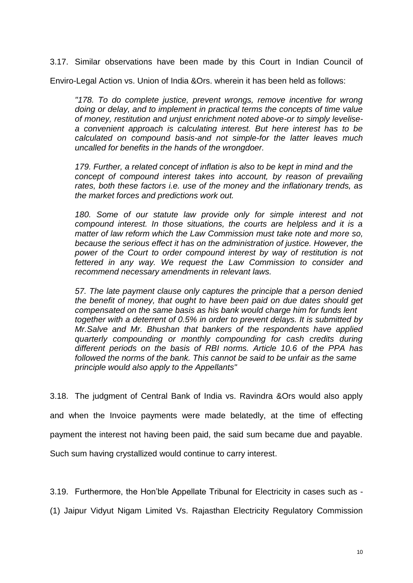3.17. Similar observations have been made by this Court in Indian Council of

Enviro-Legal Action vs. Union of India &Ors. wherein it has been held as follows:

*"178. To do complete justice, prevent wrongs, remove incentive for wrong doing or delay, and to implement in practical terms the concepts of time value of money, restitution and unjust enrichment noted above-or to simply levelisea convenient approach is calculating interest. But here interest has to be calculated on compound basis-and not simple-for the latter leaves much uncalled for benefits in the hands of the wrongdoer.* 

*179. Further, a related concept of inflation is also to be kept in mind and the concept of compound interest takes into account, by reason of prevailing rates, both these factors i.e. use of the money and the inflationary trends, as the market forces and predictions work out.* 

*180. Some of our statute law provide only for simple interest and not compound interest. In those situations, the courts are helpless and it is a matter of law reform which the Law Commission must take note and more so, because the serious effect it has on the administration of justice. However, the power of the Court to order compound interest by way of restitution is not fettered in any way. We request the Law Commission to consider and recommend necessary amendments in relevant laws.* 

*57. The late payment clause only captures the principle that a person denied the benefit of money, that ought to have been paid on due dates should get compensated on the same basis as his bank would charge him for funds lent together with a deterrent of 0.5% in order to prevent delays. It is submitted by Mr.Salve and Mr. Bhushan that bankers of the respondents have applied quarterly compounding or monthly compounding for cash credits during different periods on the basis of RBI norms. Article 10.6 of the PPA has*  followed the norms of the bank. This cannot be said to be unfair as the same *principle would also apply to the Appellants"* 

3.18. The judgment of Central Bank of India vs. Ravindra &Ors would also apply and when the Invoice payments were made belatedly, at the time of effecting payment the interest not having been paid, the said sum became due and payable. Such sum having crystallized would continue to carry interest.

3.19. Furthermore, the Hon'ble Appellate Tribunal for Electricity in cases such as -

(1) Jaipur Vidyut Nigam Limited Vs. Rajasthan Electricity Regulatory Commission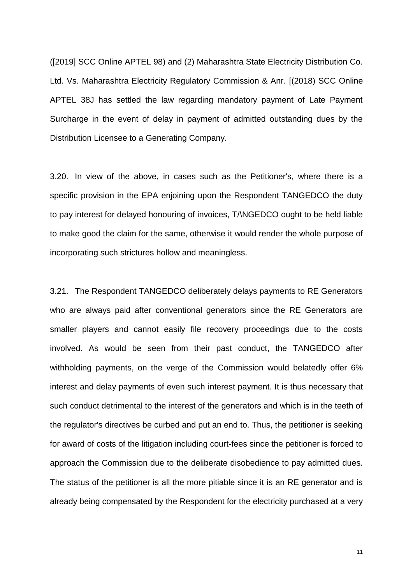([2019] SCC Online APTEL 98) and (2) Maharashtra State Electricity Distribution Co. Ltd. Vs. Maharashtra Electricity Regulatory Commission & Anr. [(2018) SCC Online APTEL 38J has settled the law regarding mandatory payment of Late Payment Surcharge in the event of delay in payment of admitted outstanding dues by the Distribution Licensee to a Generating Company.

3.20. In view of the above, in cases such as the Petitioner's, where there is a specific provision in the EPA enjoining upon the Respondent TANGEDCO the duty to pay interest for delayed honouring of invoices, T/\NGEDCO ought to be held liable to make good the claim for the same, otherwise it would render the whole purpose of incorporating such strictures hollow and meaningless.

3.21. The Respondent TANGEDCO deliberately delays payments to RE Generators who are always paid after conventional generators since the RE Generators are smaller players and cannot easily file recovery proceedings due to the costs involved. As would be seen from their past conduct, the TANGEDCO after withholding payments, on the verge of the Commission would belatedly offer 6% interest and delay payments of even such interest payment. It is thus necessary that such conduct detrimental to the interest of the generators and which is in the teeth of the regulator's directives be curbed and put an end to. Thus, the petitioner is seeking for award of costs of the litigation including court-fees since the petitioner is forced to approach the Commission due to the deliberate disobedience to pay admitted dues. The status of the petitioner is all the more pitiable since it is an RE generator and is already being compensated by the Respondent for the electricity purchased at a very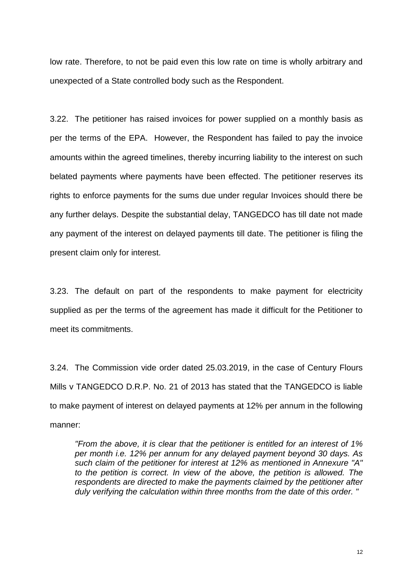low rate. Therefore, to not be paid even this low rate on time is wholly arbitrary and unexpected of a State controlled body such as the Respondent.

3.22. The petitioner has raised invoices for power supplied on a monthly basis as per the terms of the EPA. However, the Respondent has failed to pay the invoice amounts within the agreed timelines, thereby incurring liability to the interest on such belated payments where payments have been effected. The petitioner reserves its rights to enforce payments for the sums due under regular Invoices should there be any further delays. Despite the substantial delay, TANGEDCO has till date not made any payment of the interest on delayed payments till date. The petitioner is filing the present claim only for interest.

3.23. The default on part of the respondents to make payment for electricity supplied as per the terms of the agreement has made it difficult for the Petitioner to meet its commitments.

3.24. The Commission vide order dated 25.03.2019, in the case of Century Flours Mills v TANGEDCO D.R.P. No. 21 of 2013 has stated that the TANGEDCO is liable to make payment of interest on delayed payments at 12% per annum in the following manner:

*"From the above, it is clear that the petitioner is entitled for an interest of 1% per month i.e. 12% per annum for any delayed payment beyond 30 days. As such claim of the petitioner for interest at 12% as mentioned in Annexure "A" to the petition is correct. In view of the above, the petition is allowed. The respondents are directed to make the payments claimed by the petitioner after duly verifying the calculation within three months from the date of this order. "*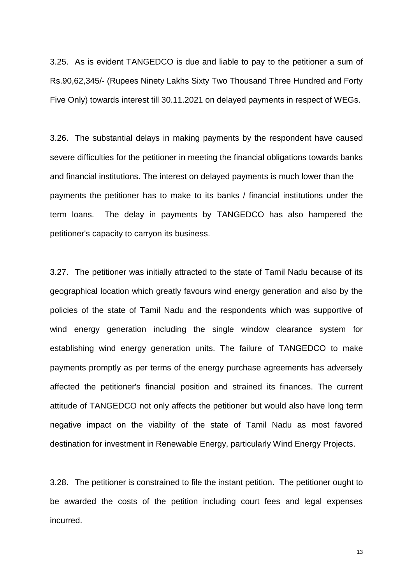3.25. As is evident TANGEDCO is due and liable to pay to the petitioner a sum of Rs.90,62,345/- (Rupees Ninety Lakhs Sixty Two Thousand Three Hundred and Forty Five Only) towards interest till 30.11.2021 on delayed payments in respect of WEGs.

3.26. The substantial delays in making payments by the respondent have caused severe difficulties for the petitioner in meeting the financial obligations towards banks and financial institutions. The interest on delayed payments is much lower than the payments the petitioner has to make to its banks / financial institutions under the term loans. The delay in payments by TANGEDCO has also hampered the petitioner's capacity to carryon its business.

3.27. The petitioner was initially attracted to the state of Tamil Nadu because of its geographical location which greatly favours wind energy generation and also by the policies of the state of Tamil Nadu and the respondents which was supportive of wind energy generation including the single window clearance system for establishing wind energy generation units. The failure of TANGEDCO to make payments promptly as per terms of the energy purchase agreements has adversely affected the petitioner's financial position and strained its finances. The current attitude of TANGEDCO not only affects the petitioner but would also have long term negative impact on the viability of the state of Tamil Nadu as most favored destination for investment in Renewable Energy, particularly Wind Energy Projects.

3.28. The petitioner is constrained to file the instant petition. The petitioner ought to be awarded the costs of the petition including court fees and legal expenses incurred.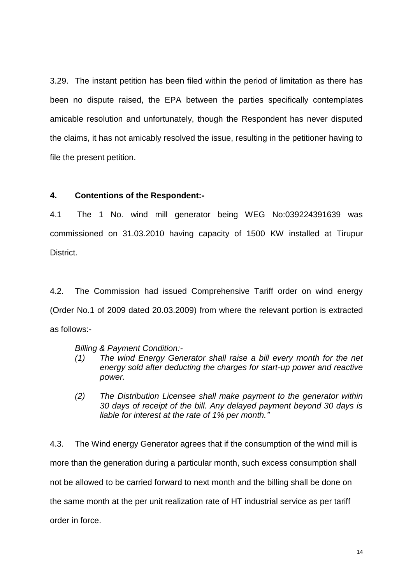3.29. The instant petition has been filed within the period of limitation as there has been no dispute raised, the EPA between the parties specifically contemplates amicable resolution and unfortunately, though the Respondent has never disputed the claims, it has not amicably resolved the issue, resulting in the petitioner having to file the present petition.

## **4. Contentions of the Respondent:-**

4.1 The 1 No. wind mill generator being WEG No:039224391639 was commissioned on 31.03.2010 having capacity of 1500 KW installed at Tirupur District.

4.2. The Commission had issued Comprehensive Tariff order on wind energy (Order No.1 of 2009 dated 20.03.2009) from where the relevant portion is extracted as follows:-

*Billing & Payment Condition:-*

- *(1) The wind Energy Generator shall raise a bill every month for the net energy sold after deducting the charges for start-up power and reactive power.*
- *(2) The Distribution Licensee shall make payment to the generator within 30 days of receipt of the bill. Any delayed payment beyond 30 days is liable for interest at the rate of 1% per month."*

4.3. The Wind energy Generator agrees that if the consumption of the wind mill is more than the generation during a particular month, such excess consumption shall not be allowed to be carried forward to next month and the billing shall be done on the same month at the per unit realization rate of HT industrial service as per tariff order in force.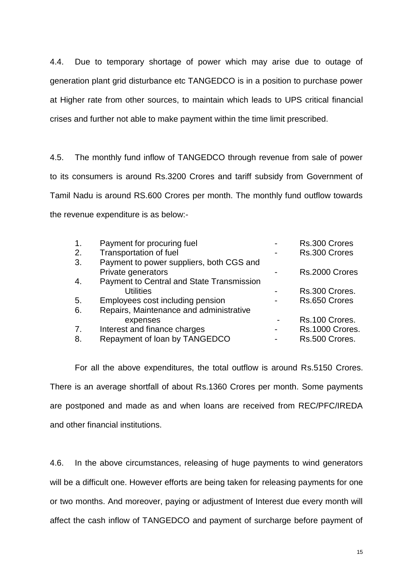4.4. Due to temporary shortage of power which may arise due to outage of generation plant grid disturbance etc TANGEDCO is in a position to purchase power at Higher rate from other sources, to maintain which leads to UPS critical financial crises and further not able to make payment within the time limit prescribed.

4.5. The monthly fund inflow of TANGEDCO through revenue from sale of power to its consumers is around Rs.3200 Crores and tariff subsidy from Government of Tamil Nadu is around RS.600 Crores per month. The monthly fund outflow towards the revenue expenditure is as below:-

| Payment for procuring fuel                | Rs.300 Crores   |
|-------------------------------------------|-----------------|
| Transportation of fuel                    | Rs.300 Crores   |
| Payment to power suppliers, both CGS and  |                 |
| Private generators                        | Rs.2000 Crores  |
| Payment to Central and State Transmission |                 |
| <b>Utilities</b>                          | Rs.300 Crores.  |
| Employees cost including pension          | Rs.650 Crores   |
| Repairs, Maintenance and administrative   |                 |
| expenses                                  | Rs.100 Crores.  |
| Interest and finance charges              | Rs.1000 Crores. |
| Repayment of loan by TANGEDCO             | Rs.500 Crores.  |
|                                           |                 |

For all the above expenditures, the total outflow is around Rs.5150 Crores. There is an average shortfall of about Rs.1360 Crores per month. Some payments are postponed and made as and when loans are received from REC/PFC/IREDA and other financial institutions.

4.6. In the above circumstances, releasing of huge payments to wind generators will be a difficult one. However efforts are being taken for releasing payments for one or two months. And moreover, paying or adjustment of Interest due every month will affect the cash inflow of TANGEDCO and payment of surcharge before payment of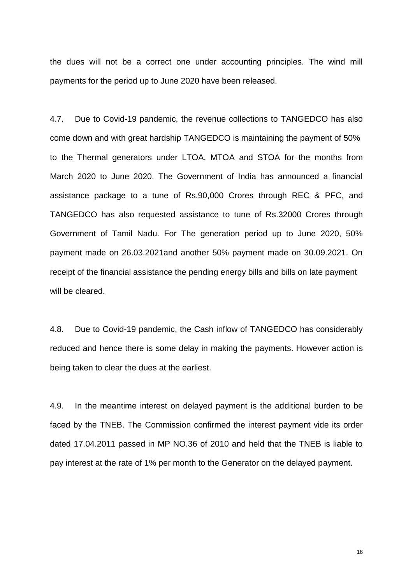the dues will not be a correct one under accounting principles. The wind mill payments for the period up to June 2020 have been released.

4.7. Due to Covid-19 pandemic, the revenue collections to TANGEDCO has also come down and with great hardship TANGEDCO is maintaining the payment of 50% to the Thermal generators under LTOA, MTOA and STOA for the months from March 2020 to June 2020. The Government of India has announced a financial assistance package to a tune of Rs.90,000 Crores through REC & PFC, and TANGEDCO has also requested assistance to tune of Rs.32000 Crores through Government of Tamil Nadu. For The generation period up to June 2020, 50% payment made on 26.03.2021and another 50% payment made on 30.09.2021. On receipt of the financial assistance the pending energy bills and bills on late payment will be cleared.

4.8. Due to Covid-19 pandemic, the Cash inflow of TANGEDCO has considerably reduced and hence there is some delay in making the payments. However action is being taken to clear the dues at the earliest.

4.9. In the meantime interest on delayed payment is the additional burden to be faced by the TNEB. The Commission confirmed the interest payment vide its order dated 17.04.2011 passed in MP NO.36 of 2010 and held that the TNEB is liable to pay interest at the rate of 1% per month to the Generator on the delayed payment.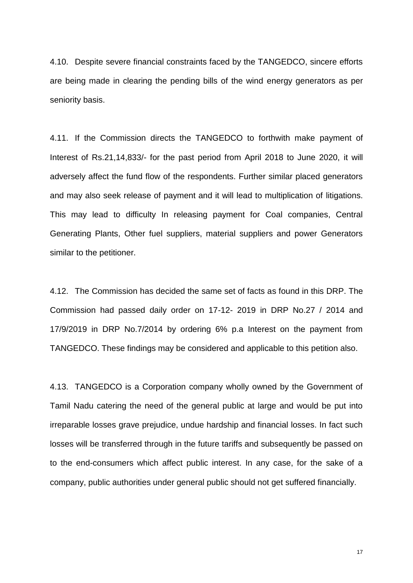4.10. Despite severe financial constraints faced by the TANGEDCO, sincere efforts are being made in clearing the pending bills of the wind energy generators as per seniority basis.

4.11. If the Commission directs the TANGEDCO to forthwith make payment of Interest of Rs.21,14,833/- for the past period from April 2018 to June 2020, it will adversely affect the fund flow of the respondents. Further similar placed generators and may also seek release of payment and it will lead to multiplication of litigations. This may lead to difficulty In releasing payment for Coal companies, Central Generating Plants, Other fuel suppliers, material suppliers and power Generators similar to the petitioner.

4.12. The Commission has decided the same set of facts as found in this DRP. The Commission had passed daily order on 17-12- 2019 in DRP No.27 / 2014 and 17/9/2019 in DRP No.7/2014 by ordering 6% p.a Interest on the payment from TANGEDCO. These findings may be considered and applicable to this petition also.

4.13. TANGEDCO is a Corporation company wholly owned by the Government of Tamil Nadu catering the need of the general public at large and would be put into irreparable losses grave prejudice, undue hardship and financial losses. In fact such losses will be transferred through in the future tariffs and subsequently be passed on to the end-consumers which affect public interest. In any case, for the sake of a company, public authorities under general public should not get suffered financially.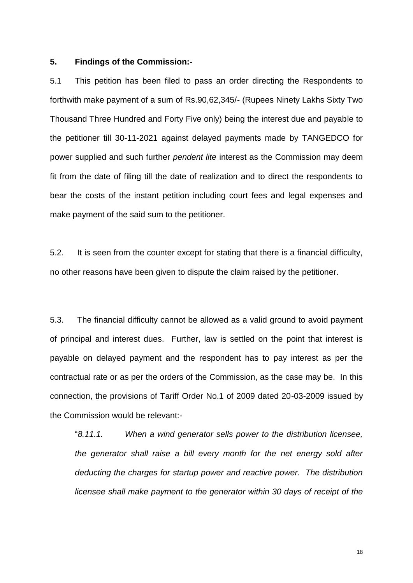### **5. Findings of the Commission:-**

5.1 This petition has been filed to pass an order directing the Respondents to forthwith make payment of a sum of Rs.90,62,345/- (Rupees Ninety Lakhs Sixty Two Thousand Three Hundred and Forty Five only) being the interest due and payable to the petitioner till 30-11-2021 against delayed payments made by TANGEDCO for power supplied and such further *pendent lite* interest as the Commission may deem fit from the date of filing till the date of realization and to direct the respondents to bear the costs of the instant petition including court fees and legal expenses and make payment of the said sum to the petitioner.

5.2. It is seen from the counter except for stating that there is a financial difficulty, no other reasons have been given to dispute the claim raised by the petitioner.

5.3. The financial difficulty cannot be allowed as a valid ground to avoid payment of principal and interest dues. Further, law is settled on the point that interest is payable on delayed payment and the respondent has to pay interest as per the contractual rate or as per the orders of the Commission, as the case may be. In this connection, the provisions of Tariff Order No.1 of 2009 dated 20-03-2009 issued by the Commission would be relevant:-

"*8.11.1. When a wind generator sells power to the distribution licensee, the generator shall raise a bill every month for the net energy sold after deducting the charges for startup power and reactive power. The distribution licensee shall make payment to the generator within 30 days of receipt of the*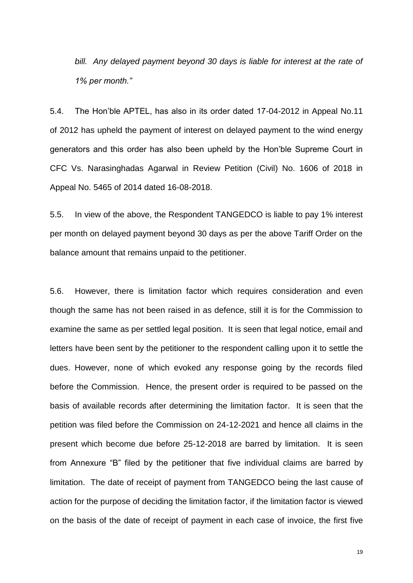*bill. Any delayed payment beyond 30 days is liable for interest at the rate of 1% per month."*

5.4. The Hon'ble APTEL, has also in its order dated 17-04-2012 in Appeal No.11 of 2012 has upheld the payment of interest on delayed payment to the wind energy generators and this order has also been upheld by the Hon'ble Supreme Court in CFC Vs. Narasinghadas Agarwal in Review Petition (Civil) No. 1606 of 2018 in Appeal No. 5465 of 2014 dated 16-08-2018.

5.5. In view of the above, the Respondent TANGEDCO is liable to pay 1% interest per month on delayed payment beyond 30 days as per the above Tariff Order on the balance amount that remains unpaid to the petitioner.

5.6. However, there is limitation factor which requires consideration and even though the same has not been raised in as defence, still it is for the Commission to examine the same as per settled legal position. It is seen that legal notice, email and letters have been sent by the petitioner to the respondent calling upon it to settle the dues. However, none of which evoked any response going by the records filed before the Commission. Hence, the present order is required to be passed on the basis of available records after determining the limitation factor. It is seen that the petition was filed before the Commission on 24-12-2021 and hence all claims in the present which become due before 25-12-2018 are barred by limitation. It is seen from Annexure "B" filed by the petitioner that five individual claims are barred by limitation. The date of receipt of payment from TANGEDCO being the last cause of action for the purpose of deciding the limitation factor, if the limitation factor is viewed on the basis of the date of receipt of payment in each case of invoice, the first five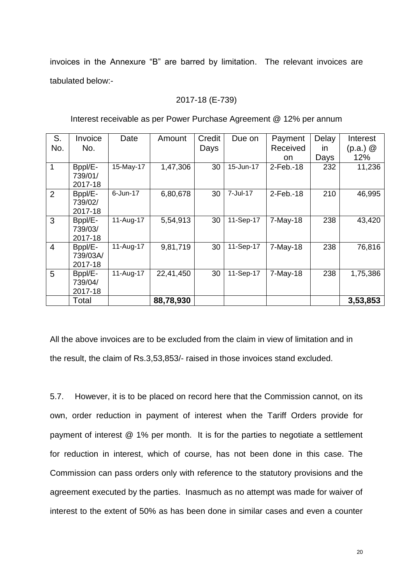invoices in the Annexure "B" are barred by limitation. The relevant invoices are tabulated below:-

### 2017-18 (E-739)

| S.             | Invoice  | Date      | Amount    | Credit | Due on    | Payment    | Delay        | Interest     |
|----------------|----------|-----------|-----------|--------|-----------|------------|--------------|--------------|
| No.            | No.      |           |           | Days   |           | Received   | $\mathsf{I}$ | $(p.a.)$ $@$ |
|                |          |           |           |        |           | on.        | Days         | 12%          |
| 1              | Bppl/E-  | 15-May-17 | 1,47,306  | 30     | 15-Jun-17 | 2-Feb.-18  | 232          | 11,236       |
|                | 739/01/  |           |           |        |           |            |              |              |
|                | 2017-18  |           |           |        |           |            |              |              |
| $\overline{2}$ | Bppl/E-  | 6-Jun-17  | 6,80,678  | 30     | 7-Jul-17  | 2-Feb.-18  | 210          | 46,995       |
|                | 739/02/  |           |           |        |           |            |              |              |
|                | 2017-18  |           |           |        |           |            |              |              |
| 3              | Bppl/E-  | 11-Aug-17 | 5,54,913  | 30     | 11-Sep-17 | $7-May-18$ | 238          | 43,420       |
|                | 739/03/  |           |           |        |           |            |              |              |
|                | 2017-18  |           |           |        |           |            |              |              |
| $\overline{4}$ | Bppl/E-  | 11-Aug-17 | 9,81,719  | 30     | 11-Sep-17 | 7-May-18   | 238          | 76,816       |
|                | 739/03A/ |           |           |        |           |            |              |              |
|                | 2017-18  |           |           |        |           |            |              |              |
| 5              | Bppl/E-  | 11-Aug-17 | 22,41,450 | 30     | 11-Sep-17 | $7-May-18$ | 238          | 1,75,386     |
|                | 739/04/  |           |           |        |           |            |              |              |
|                | 2017-18  |           |           |        |           |            |              |              |
|                | Total    |           | 88,78,930 |        |           |            |              | 3,53,853     |

Interest receivable as per Power Purchase Agreement @ 12% per annum

All the above invoices are to be excluded from the claim in view of limitation and in the result, the claim of Rs.3,53,853/- raised in those invoices stand excluded.

5.7. However, it is to be placed on record here that the Commission cannot, on its own, order reduction in payment of interest when the Tariff Orders provide for payment of interest @ 1% per month. It is for the parties to negotiate a settlement for reduction in interest, which of course, has not been done in this case. The Commission can pass orders only with reference to the statutory provisions and the agreement executed by the parties. Inasmuch as no attempt was made for waiver of interest to the extent of 50% as has been done in similar cases and even a counter